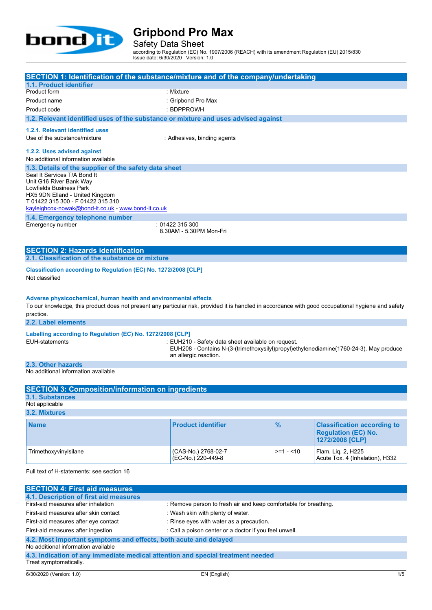

Safety Data Sheet

according to Regulation (EC) No. 1907/2006 (REACH) with its amendment Regulation (EU) 2015/830 Issue date: 6/30/2020 Version: 1.0

| SECTION 1: Identification of the substance/mixture and of the company/undertaking                                                                                                                                                   |                                         |               |                                                                                     |  |  |
|-------------------------------------------------------------------------------------------------------------------------------------------------------------------------------------------------------------------------------------|-----------------------------------------|---------------|-------------------------------------------------------------------------------------|--|--|
| 1.1. Product identifier                                                                                                                                                                                                             |                                         |               |                                                                                     |  |  |
| Product form                                                                                                                                                                                                                        | : Mixture                               |               |                                                                                     |  |  |
| Product name                                                                                                                                                                                                                        | : Gripbond Pro Max                      |               |                                                                                     |  |  |
| Product code                                                                                                                                                                                                                        | : BDPPROWH                              |               |                                                                                     |  |  |
| 1.2. Relevant identified uses of the substance or mixture and uses advised against                                                                                                                                                  |                                         |               |                                                                                     |  |  |
| 1.2.1. Relevant identified uses                                                                                                                                                                                                     |                                         |               |                                                                                     |  |  |
| Use of the substance/mixture                                                                                                                                                                                                        | : Adhesives, binding agents             |               |                                                                                     |  |  |
| 1.2.2. Uses advised against<br>No additional information available                                                                                                                                                                  |                                         |               |                                                                                     |  |  |
| 1.3. Details of the supplier of the safety data sheet                                                                                                                                                                               |                                         |               |                                                                                     |  |  |
| Seal It Services T/A Bond It<br>Unit G16 River Bank Way<br>Lowfields Business Park<br>HX5 9DN Elland - United Kingdom<br>T 01422 315 300 - F 01422 315 310<br>kayleighcox-nowak@bond-it.co.uk - www.bond-it.co.uk                   |                                         |               |                                                                                     |  |  |
| 1.4. Emergency telephone number                                                                                                                                                                                                     |                                         |               |                                                                                     |  |  |
| Emergency number                                                                                                                                                                                                                    | :01422315300<br>8.30AM - 5.30PM Mon-Fri |               |                                                                                     |  |  |
| <b>SECTION 2: Hazards identification</b>                                                                                                                                                                                            |                                         |               |                                                                                     |  |  |
| 2.1. Classification of the substance or mixture                                                                                                                                                                                     |                                         |               |                                                                                     |  |  |
| Classification according to Regulation (EC) No. 1272/2008 [CLP]<br>Not classified                                                                                                                                                   |                                         |               |                                                                                     |  |  |
| Adverse physicochemical, human health and environmental effects<br>To our knowledge, this product does not present any particular risk, provided it is handled in accordance with good occupational hygiene and safety<br>practice. |                                         |               |                                                                                     |  |  |
| 2.2. Label elements                                                                                                                                                                                                                 |                                         |               |                                                                                     |  |  |
| Labelling according to Regulation (EC) No. 1272/2008 [CLP]                                                                                                                                                                          |                                         |               |                                                                                     |  |  |
| EUH-statements<br>: EUH210 - Safety data sheet available on request.<br>EUH208 - Contains N-(3-(trimethoxysilyl)propyl)ethylenediamine(1760-24-3). May produce<br>an allergic reaction.                                             |                                         |               |                                                                                     |  |  |
| 2.3. Other hazards                                                                                                                                                                                                                  |                                         |               |                                                                                     |  |  |
| No additional information available                                                                                                                                                                                                 |                                         |               |                                                                                     |  |  |
|                                                                                                                                                                                                                                     |                                         |               |                                                                                     |  |  |
| <b>SECTION 3: Composition/information on ingredients</b>                                                                                                                                                                            |                                         |               |                                                                                     |  |  |
| <b>3.1. Substances</b>                                                                                                                                                                                                              |                                         |               |                                                                                     |  |  |
| Not applicable                                                                                                                                                                                                                      |                                         |               |                                                                                     |  |  |
| 3.2. Mixtures                                                                                                                                                                                                                       |                                         |               |                                                                                     |  |  |
| <b>Name</b>                                                                                                                                                                                                                         | <b>Product identifier</b>               | $\frac{9}{6}$ | <b>Classification according to</b><br><b>Requlation (EC) No.</b><br>1272/2008 [CLP] |  |  |

Full text of H-statements: see section 16

Trimethoxyvinylsilane (CAS-No.) 2768-02-7

| <b>SECTION 4: First aid measures</b>                                            |                                                                  |  |  |  |
|---------------------------------------------------------------------------------|------------------------------------------------------------------|--|--|--|
| 4.1. Description of first aid measures                                          |                                                                  |  |  |  |
| First-aid measures after inhalation                                             | : Remove person to fresh air and keep comfortable for breathing. |  |  |  |
| First-aid measures after skin contact                                           | : Wash skin with plenty of water.                                |  |  |  |
| First-aid measures after eye contact                                            | : Rinse eyes with water as a precaution.                         |  |  |  |
| First-aid measures after ingestion                                              | : Call a poison center or a doctor if you feel unwell.           |  |  |  |
| 4.2. Most important symptoms and effects, both acute and delayed                |                                                                  |  |  |  |
| No additional information available                                             |                                                                  |  |  |  |
| 4.3. Indication of any immediate medical attention and special treatment needed |                                                                  |  |  |  |
| Treat symptomatically.                                                          |                                                                  |  |  |  |

(EC-No.) 220-449-8

>=1 - <10 Flam. Liq. 2, H225

Acute Tox. 4 (Inhalation), H332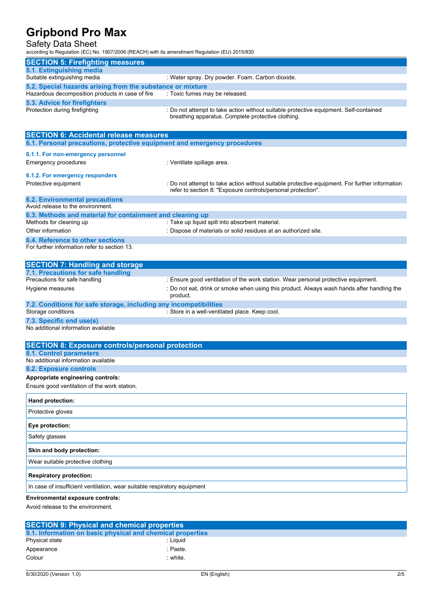### Safety Data Sheet

according to Regulation (EC) No. 1907/2006 (REACH) with its amendment Regulation (EU) 2015/830

| <b>SECTION 5: Firefighting measures</b>                    |                                                                                                                                             |  |  |  |
|------------------------------------------------------------|---------------------------------------------------------------------------------------------------------------------------------------------|--|--|--|
| 5.1. Extinguishing media                                   |                                                                                                                                             |  |  |  |
| Suitable extinguishing media                               | : Water spray. Dry powder. Foam. Carbon dioxide.                                                                                            |  |  |  |
| 5.2. Special hazards arising from the substance or mixture |                                                                                                                                             |  |  |  |
| Hazardous decomposition products in case of fire           | : Toxic fumes may be released.                                                                                                              |  |  |  |
| 5.3. Advice for firefighters                               |                                                                                                                                             |  |  |  |
| Protection during firefighting                             | : Do not attempt to take action without suitable protective equipment. Self-contained<br>breathing apparatus. Complete protective clothing. |  |  |  |

| <b>SECTION 6: Accidental release measures</b>                            |                                                                                                                                                                |  |  |  |
|--------------------------------------------------------------------------|----------------------------------------------------------------------------------------------------------------------------------------------------------------|--|--|--|
| 6.1. Personal precautions, protective equipment and emergency procedures |                                                                                                                                                                |  |  |  |
| 6.1.1. For non-emergency personnel                                       |                                                                                                                                                                |  |  |  |
| Emergency procedures                                                     | : Ventilate spillage area.                                                                                                                                     |  |  |  |
| 6.1.2. For emergency responders                                          |                                                                                                                                                                |  |  |  |
| Protective equipment                                                     | : Do not attempt to take action without suitable protective equipment. For further information<br>refer to section 8: "Exposure controls/personal protection". |  |  |  |
| <b>6.2. Environmental precautions</b>                                    |                                                                                                                                                                |  |  |  |
| Avoid release to the environment.                                        |                                                                                                                                                                |  |  |  |
| 6.3. Methods and material for containment and cleaning up                |                                                                                                                                                                |  |  |  |
| Methods for cleaning up                                                  | : Take up liquid spill into absorbent material.                                                                                                                |  |  |  |
| Other information                                                        | : Dispose of materials or solid residues at an authorized site.                                                                                                |  |  |  |
| 6.4. Reference to other sections                                         |                                                                                                                                                                |  |  |  |
| For further information refer to section 13.                             |                                                                                                                                                                |  |  |  |
| <b>SECTION 7: Handling and storage</b>                                   |                                                                                                                                                                |  |  |  |
| 7.1. Precautions for safe handling                                       |                                                                                                                                                                |  |  |  |

| 7.1. Precautions for safe handling                                |                                                                                                        |
|-------------------------------------------------------------------|--------------------------------------------------------------------------------------------------------|
| Precautions for safe handling                                     | : Ensure good ventilation of the work station. Wear personal protective equipment.                     |
| Hygiene measures                                                  | : Do not eat, drink or smoke when using this product. Always wash hands after handling the<br>product. |
| 7.2. Conditions for safe storage, including any incompatibilities |                                                                                                        |
| Storage conditions                                                | : Store in a well-ventilated place. Keep cool.                                                         |
|                                                                   |                                                                                                        |

**7.3. Specific end use(s)** No additional information available

| <b>SECTION 8: Exposure controls/personal protection</b>                  |
|--------------------------------------------------------------------------|
| 8.1. Control parameters                                                  |
| No additional information available                                      |
| <b>8.2. Exposure controls</b>                                            |
| Appropriate engineering controls:                                        |
| Ensure good ventilation of the work station.                             |
| Hand protection:                                                         |
| Protective gloves                                                        |
| Eye protection:                                                          |
| Safety glasses                                                           |
| Skin and body protection:                                                |
| Wear suitable protective clothing                                        |
| <b>Respiratory protection:</b>                                           |
| In case of insufficient ventilation, wear suitable respiratory equipment |
| _                                                                        |

### **Environmental exposure controls:**

Avoid release to the environment.

| <b>SECTION 9: Physical and chemical properties</b>         |           |  |  |
|------------------------------------------------------------|-----------|--|--|
| 9.1. Information on basic physical and chemical properties |           |  |  |
| Physical state                                             | · Liquid  |  |  |
| Appearance                                                 | :Paste.   |  |  |
| Colour                                                     | $:$ white |  |  |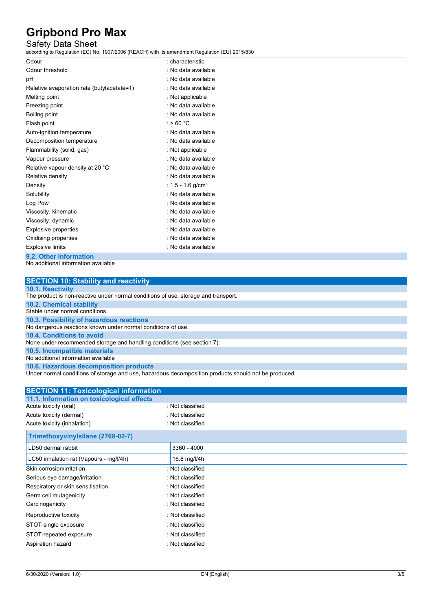### Safety Data Sheet

according to Regulation (EC) No. 1907/2006 (REACH) with its amendment Regulation (EU) 2015/830

| Odour                                      | : characteristic.             |
|--------------------------------------------|-------------------------------|
| Odour threshold                            | : No data available           |
| рH                                         | : No data available           |
| Relative evaporation rate (butylacetate=1) | : No data available           |
| Melting point                              | : Not applicable              |
| Freezing point                             | : No data available           |
| Boiling point                              | : No data available           |
| Flash point                                | : > 60 °C                     |
| Auto-ignition temperature                  | : No data available           |
| Decomposition temperature                  | : No data available           |
| Flammability (solid, gas)                  | : Not applicable              |
| Vapour pressure                            | : No data available           |
| Relative vapour density at 20 °C           | : No data available           |
| Relative density                           | . No data available           |
| Density                                    | : 1.5 - 1.6 g/cm <sup>3</sup> |
| Solubility                                 | : No data available           |
| Log Pow                                    | . No data available           |
| Viscosity, kinematic                       | : No data available           |
| Viscosity, dynamic                         | : No data available           |
| <b>Explosive properties</b>                | : No data available           |
| Oxidising properties                       | : No data available           |
| <b>Explosive limits</b>                    | : No data available           |
| 9.2. Other information                     |                               |

No additional information available

| <b>SECTION 10: Stability and reactivity</b>                                                          |
|------------------------------------------------------------------------------------------------------|
| <b>10.1. Reactivity</b>                                                                              |
| The product is non-reactive under normal conditions of use, storage and transport.                   |
| <b>10.2. Chemical stability</b>                                                                      |
| Stable under normal conditions.                                                                      |
| 10.3. Possibility of hazardous reactions                                                             |
| No dangerous reactions known under normal conditions of use.                                         |
| 10.4. Conditions to avoid                                                                            |
| None under recommended storage and handling conditions (see section 7).                              |
| 10.5. Incompatible materials                                                                         |
| No additional information available                                                                  |
| 10.6. Hazardous decomposition products                                                               |
| Under normal conditions of storage and use, hazardous decomposition products should not be produced. |

| <b>SECTION 11: Toxicological information</b> |                  |  |
|----------------------------------------------|------------------|--|
| 11.1. Information on toxicological effects   |                  |  |
| Acute toxicity (oral)                        | : Not classified |  |
| Acute toxicity (dermal)                      | : Not classified |  |
| Acute toxicity (inhalation)                  | : Not classified |  |
| Trimethoxyvinylsilane (2768-02-7)            |                  |  |
| LD50 dermal rabbit                           | 3360 - 4000      |  |
| LC50 inhalation rat (Vapours - mg/l/4h)      | 16.8 mg/l/4h     |  |
| Skin corrosion/irritation                    | : Not classified |  |
| Serious eye damage/irritation                | : Not classified |  |
| Respiratory or skin sensitisation            | : Not classified |  |
| Germ cell mutagenicity                       | : Not classified |  |
| Carcinogenicity                              | : Not classified |  |
| Reproductive toxicity                        | : Not classified |  |
| STOT-single exposure                         | : Not classified |  |
| STOT-repeated exposure                       | : Not classified |  |
| Aspiration hazard                            | : Not classified |  |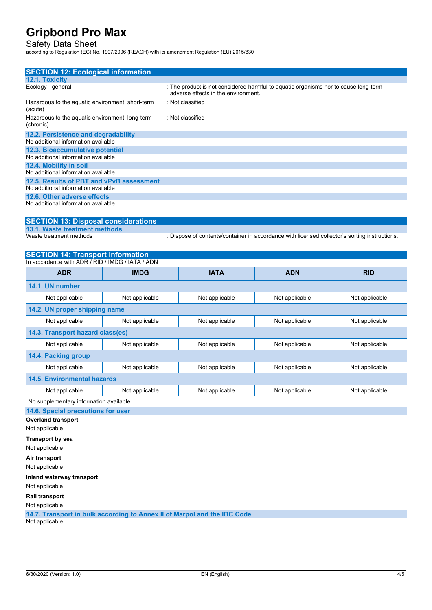## Safety Data Sheet

according to Regulation (EC) No. 1907/2006 (REACH) with its amendment Regulation (EU) 2015/830

| <b>SECTION 12: Ecological information</b>                    |                                                                                                                            |
|--------------------------------------------------------------|----------------------------------------------------------------------------------------------------------------------------|
| <b>12.1. Toxicity</b>                                        |                                                                                                                            |
| Ecology - general                                            | : The product is not considered harmful to aquatic organisms nor to cause long-term<br>adverse effects in the environment. |
| Hazardous to the aquatic environment, short-term<br>(acute)  | : Not classified                                                                                                           |
| Hazardous to the aquatic environment, long-term<br>(chronic) | : Not classified                                                                                                           |
| 12.2. Persistence and degradability                          |                                                                                                                            |
| No additional information available                          |                                                                                                                            |
| 12.3. Bioaccumulative potential                              |                                                                                                                            |
| No additional information available                          |                                                                                                                            |
| 12.4. Mobility in soil                                       |                                                                                                                            |
| No additional information available                          |                                                                                                                            |
| 12.5. Results of PBT and vPvB assessment                     |                                                                                                                            |
| No additional information available                          |                                                                                                                            |
| 12.6. Other adverse effects                                  |                                                                                                                            |
| No additional information available                          |                                                                                                                            |

## **SECTION 13: Disposal considerations**

**13.1. Waste treatment methods**

: Dispose of contents/container in accordance with licensed collector's sorting instructions.

## **SECTION 14: Transport information**

| In accordance with ADR / RID / IMDG / IATA / ADN |                |                           |                |                |  |  |
|--------------------------------------------------|----------------|---------------------------|----------------|----------------|--|--|
| <b>ADR</b>                                       | <b>IMDG</b>    | <b>IATA</b><br><b>ADN</b> |                | <b>RID</b>     |  |  |
| 14.1. UN number                                  |                |                           |                |                |  |  |
| Not applicable                                   | Not applicable | Not applicable            | Not applicable | Not applicable |  |  |
| 14.2. UN proper shipping name                    |                |                           |                |                |  |  |
| Not applicable                                   | Not applicable | Not applicable            | Not applicable | Not applicable |  |  |
| 14.3. Transport hazard class(es)                 |                |                           |                |                |  |  |
| Not applicable                                   | Not applicable | Not applicable            | Not applicable | Not applicable |  |  |
| 14.4. Packing group                              |                |                           |                |                |  |  |
| Not applicable                                   | Not applicable | Not applicable            | Not applicable | Not applicable |  |  |
| 14.5. Environmental hazards                      |                |                           |                |                |  |  |
| Not applicable                                   | Not applicable | Not applicable            | Not applicable | Not applicable |  |  |
| No supplementary information available           |                |                           |                |                |  |  |

**14.6. Special precautions for user**

### **Overland transport**

Not applicable

#### **Transport by sea**

Not applicable

**Air transport**

Not applicable

#### **Inland waterway transport**

Not applicable

#### **Rail transport**

Not applicable

**14.7. Transport in bulk according to Annex II of Marpol and the IBC Code** Not applicable